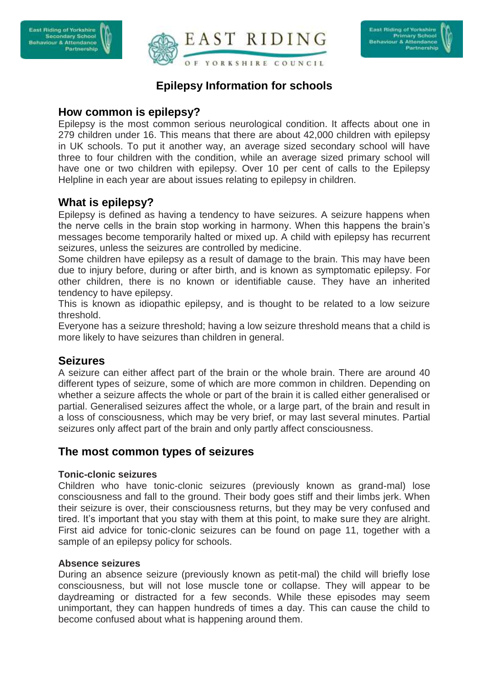



# **Epilepsy Information for schools**

### **How common is epilepsy?**

Epilepsy is the most common serious neurological condition. It affects about one in 279 children under 16. This means that there are about 42,000 children with epilepsy in UK schools. To put it another way, an average sized secondary school will have three to four children with the condition, while an average sized primary school will have one or two children with epilepsy. Over 10 per cent of calls to the Epilepsy Helpline in each year are about issues relating to epilepsy in children.

## **What is epilepsy?**

Epilepsy is defined as having a tendency to have seizures. A seizure happens when the nerve cells in the brain stop working in harmony. When this happens the brain's messages become temporarily halted or mixed up. A child with epilepsy has recurrent seizures, unless the seizures are controlled by medicine.

Some children have epilepsy as a result of damage to the brain. This may have been due to injury before, during or after birth, and is known as symptomatic epilepsy. For other children, there is no known or identifiable cause. They have an inherited tendency to have epilepsy.

This is known as idiopathic epilepsy, and is thought to be related to a low seizure threshold.

Everyone has a seizure threshold; having a low seizure threshold means that a child is more likely to have seizures than children in general.

## **Seizures**

A seizure can either affect part of the brain or the whole brain. There are around 40 different types of seizure, some of which are more common in children. Depending on whether a seizure affects the whole or part of the brain it is called either generalised or partial. Generalised seizures affect the whole, or a large part, of the brain and result in a loss of consciousness, which may be very brief, or may last several minutes. Partial seizures only affect part of the brain and only partly affect consciousness.

## **The most common types of seizures**

#### **Tonic-clonic seizures**

Children who have tonic-clonic seizures (previously known as grand-mal) lose consciousness and fall to the ground. Their body goes stiff and their limbs jerk. When their seizure is over, their consciousness returns, but they may be very confused and tired. It's important that you stay with them at this point, to make sure they are alright. First aid advice for tonic-clonic seizures can be found on page 11, together with a sample of an epilepsy policy for schools.

#### **Absence seizures**

During an absence seizure (previously known as petit-mal) the child will briefly lose consciousness, but will not lose muscle tone or collapse. They will appear to be daydreaming or distracted for a few seconds. While these episodes may seem unimportant, they can happen hundreds of times a day. This can cause the child to become confused about what is happening around them.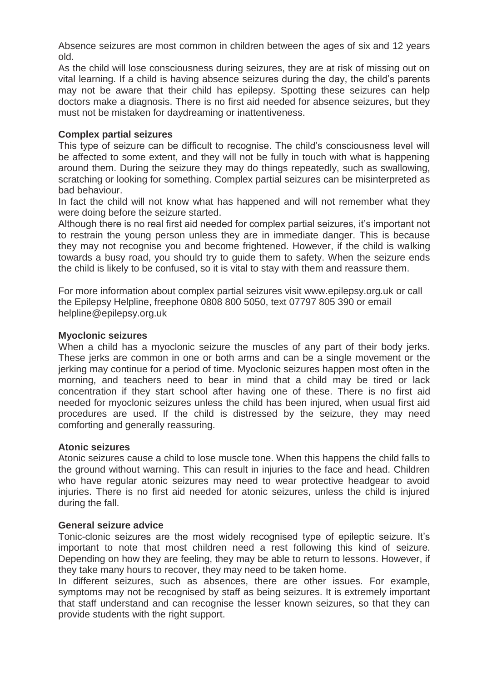Absence seizures are most common in children between the ages of six and 12 years old.

As the child will lose consciousness during seizures, they are at risk of missing out on vital learning. If a child is having absence seizures during the day, the child's parents may not be aware that their child has epilepsy. Spotting these seizures can help doctors make a diagnosis. There is no first aid needed for absence seizures, but they must not be mistaken for daydreaming or inattentiveness.

#### **Complex partial seizures**

This type of seizure can be difficult to recognise. The child's consciousness level will be affected to some extent, and they will not be fully in touch with what is happening around them. During the seizure they may do things repeatedly, such as swallowing, scratching or looking for something. Complex partial seizures can be misinterpreted as bad behaviour.

In fact the child will not know what has happened and will not remember what they were doing before the seizure started.

Although there is no real first aid needed for complex partial seizures, it's important not to restrain the young person unless they are in immediate danger. This is because they may not recognise you and become frightened. However, if the child is walking towards a busy road, you should try to guide them to safety. When the seizure ends the child is likely to be confused, so it is vital to stay with them and reassure them.

For more information about complex partial seizures visit www.epilepsy.org.uk or call the Epilepsy Helpline, freephone 0808 800 5050, text 07797 805 390 or email helpline@epilepsy.org.uk

#### **Myoclonic seizures**

When a child has a myoclonic seizure the muscles of any part of their body jerks. These jerks are common in one or both arms and can be a single movement or the jerking may continue for a period of time. Myoclonic seizures happen most often in the morning, and teachers need to bear in mind that a child may be tired or lack concentration if they start school after having one of these. There is no first aid needed for myoclonic seizures unless the child has been injured, when usual first aid procedures are used. If the child is distressed by the seizure, they may need comforting and generally reassuring.

#### **Atonic seizures**

Atonic seizures cause a child to lose muscle tone. When this happens the child falls to the ground without warning. This can result in injuries to the face and head. Children who have regular atonic seizures may need to wear protective headgear to avoid injuries. There is no first aid needed for atonic seizures, unless the child is injured during the fall.

#### **General seizure advice**

Tonic-clonic seizures are the most widely recognised type of epileptic seizure. It's important to note that most children need a rest following this kind of seizure. Depending on how they are feeling, they may be able to return to lessons. However, if they take many hours to recover, they may need to be taken home.

In different seizures, such as absences, there are other issues. For example, symptoms may not be recognised by staff as being seizures. It is extremely important that staff understand and can recognise the lesser known seizures, so that they can provide students with the right support.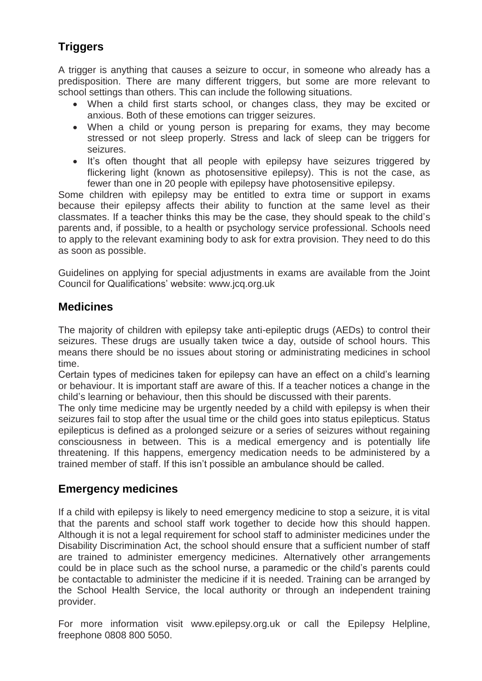# **Triggers**

A trigger is anything that causes a seizure to occur, in someone who already has a predisposition. There are many different triggers, but some are more relevant to school settings than others. This can include the following situations.

- When a child first starts school, or changes class, they may be excited or anxious. Both of these emotions can trigger seizures.
- When a child or young person is preparing for exams, they may become stressed or not sleep properly. Stress and lack of sleep can be triggers for seizures.
- It's often thought that all people with epilepsy have seizures triggered by flickering light (known as photosensitive epilepsy). This is not the case, as fewer than one in 20 people with epilepsy have photosensitive epilepsy.

Some children with epilepsy may be entitled to extra time or support in exams because their epilepsy affects their ability to function at the same level as their classmates. If a teacher thinks this may be the case, they should speak to the child's parents and, if possible, to a health or psychology service professional. Schools need to apply to the relevant examining body to ask for extra provision. They need to do this as soon as possible.

Guidelines on applying for special adjustments in exams are available from the Joint Council for Qualifications' website: [www.jcq.org.uk](http://www.jcq.org.uk/)

## **Medicines**

The majority of children with epilepsy take anti-epileptic drugs (AEDs) to control their seizures. These drugs are usually taken twice a day, outside of school hours. This means there should be no issues about storing or administrating medicines in school time.

Certain types of medicines taken for epilepsy can have an effect on a child's learning or behaviour. It is important staff are aware of this. If a teacher notices a change in the child's learning or behaviour, then this should be discussed with their parents.

The only time medicine may be urgently needed by a child with epilepsy is when their seizures fail to stop after the usual time or the child goes into status epilepticus. Status epilepticus is defined as a prolonged seizure or a series of seizures without regaining consciousness in between. This is a medical emergency and is potentially life threatening. If this happens, emergency medication needs to be administered by a trained member of staff. If this isn't possible an ambulance should be called.

# **Emergency medicines**

If a child with epilepsy is likely to need emergency medicine to stop a seizure, it is vital that the parents and school staff work together to decide how this should happen. Although it is not a legal requirement for school staff to administer medicines under the Disability Discrimination Act, the school should ensure that a sufficient number of staff are trained to administer emergency medicines. Alternatively other arrangements could be in place such as the school nurse, a paramedic or the child's parents could be contactable to administer the medicine if it is needed. Training can be arranged by the School Health Service, the local authority or through an independent training provider.

For more information visit www.epilepsy.org.uk or call the Epilepsy Helpline, freephone 0808 800 5050.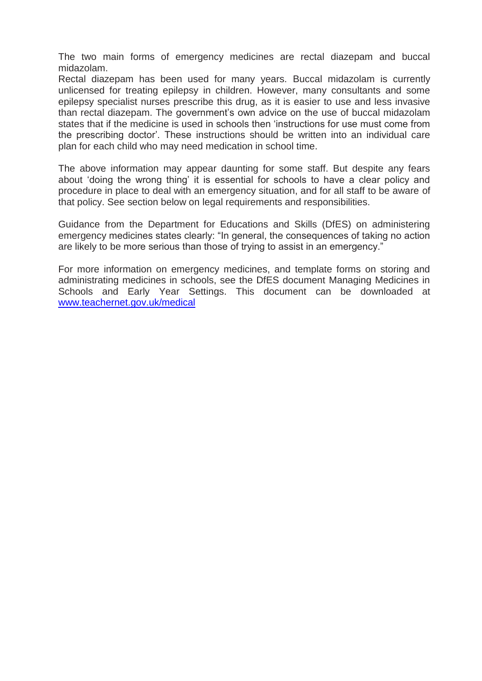The two main forms of emergency medicines are rectal diazepam and buccal midazolam.

Rectal diazepam has been used for many years. Buccal midazolam is currently unlicensed for treating epilepsy in children. However, many consultants and some epilepsy specialist nurses prescribe this drug, as it is easier to use and less invasive than rectal diazepam. The government's own advice on the use of buccal midazolam states that if the medicine is used in schools then 'instructions for use must come from the prescribing doctor'. These instructions should be written into an individual care plan for each child who may need medication in school time.

The above information may appear daunting for some staff. But despite any fears about 'doing the wrong thing' it is essential for schools to have a clear policy and procedure in place to deal with an emergency situation, and for all staff to be aware of that policy. See section below on legal requirements and responsibilities.

Guidance from the Department for Educations and Skills (DfES) on administering emergency medicines states clearly: "In general, the consequences of taking no action are likely to be more serious than those of trying to assist in an emergency."

For more information on emergency medicines, and template forms on storing and administrating medicines in schools, see the DfES document Managing Medicines in Schools and Early Year Settings. This document can be downloaded at [www.teachernet.gov.uk/medical](http://www.teachernet.gov.uk/medical)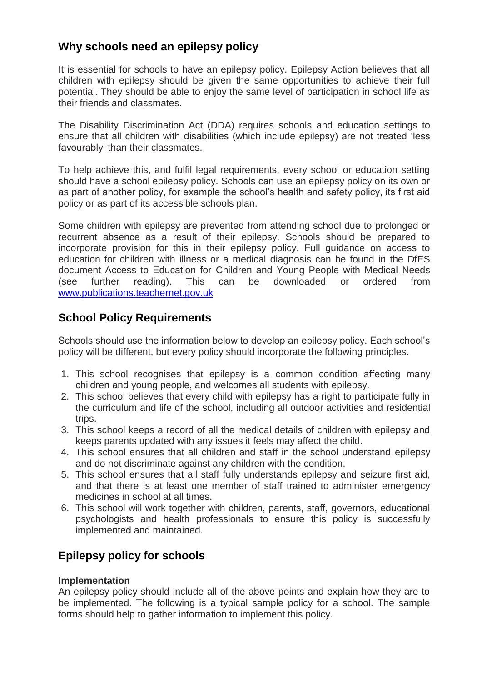# **Why schools need an epilepsy policy**

It is essential for schools to have an epilepsy policy. Epilepsy Action believes that all children with epilepsy should be given the same opportunities to achieve their full potential. They should be able to enjoy the same level of participation in school life as their friends and classmates.

The Disability Discrimination Act (DDA) requires schools and education settings to ensure that all children with disabilities (which include epilepsy) are not treated 'less favourably' than their classmates.

To help achieve this, and fulfil legal requirements, every school or education setting should have a school epilepsy policy. Schools can use an epilepsy policy on its own or as part of another policy, for example the school's health and safety policy, its first aid policy or as part of its accessible schools plan.

Some children with epilepsy are prevented from attending school due to prolonged or recurrent absence as a result of their epilepsy. Schools should be prepared to incorporate provision for this in their epilepsy policy. Full guidance on access to education for children with illness or a medical diagnosis can be found in the DfES document Access to Education for Children and Young People with Medical Needs (see further reading). This can be downloaded or ordered from [www.publications.teachernet.gov.uk](http://www.publications.teachernet.gov.uk/)

# **School Policy Requirements**

Schools should use the information below to develop an epilepsy policy. Each school's policy will be different, but every policy should incorporate the following principles.

- 1. This school recognises that epilepsy is a common condition affecting many children and young people, and welcomes all students with epilepsy.
- 2. This school believes that every child with epilepsy has a right to participate fully in the curriculum and life of the school, including all outdoor activities and residential trips.
- 3. This school keeps a record of all the medical details of children with epilepsy and keeps parents updated with any issues it feels may affect the child.
- 4. This school ensures that all children and staff in the school understand epilepsy and do not discriminate against any children with the condition.
- 5. This school ensures that all staff fully understands epilepsy and seizure first aid, and that there is at least one member of staff trained to administer emergency medicines in school at all times.
- 6. This school will work together with children, parents, staff, governors, educational psychologists and health professionals to ensure this policy is successfully implemented and maintained.

# **Epilepsy policy for schools**

#### **Implementation**

An epilepsy policy should include all of the above points and explain how they are to be implemented. The following is a typical sample policy for a school. The sample forms should help to gather information to implement this policy.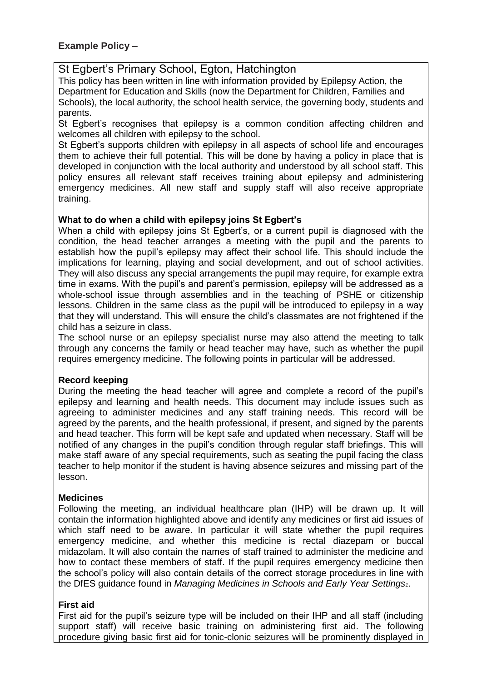### St Egbert's Primary School, Egton, Hatchington

This policy has been written in line with information provided by Epilepsy Action, the Department for Education and Skills (now the Department for Children, Families and Schools), the local authority, the school health service, the governing body, students and parents.

St Egbert's recognises that epilepsy is a common condition affecting children and welcomes all children with epilepsy to the school.

St Egbert's supports children with epilepsy in all aspects of school life and encourages them to achieve their full potential. This will be done by having a policy in place that is developed in conjunction with the local authority and understood by all school staff. This policy ensures all relevant staff receives training about epilepsy and administering emergency medicines. All new staff and supply staff will also receive appropriate training.

#### **What to do when a child with epilepsy joins St Egbert's**

When a child with epilepsy joins St Egbert's, or a current pupil is diagnosed with the condition, the head teacher arranges a meeting with the pupil and the parents to establish how the pupil's epilepsy may affect their school life. This should include the implications for learning, playing and social development, and out of school activities. They will also discuss any special arrangements the pupil may require, for example extra time in exams. With the pupil's and parent's permission, epilepsy will be addressed as a whole-school issue through assemblies and in the teaching of PSHE or citizenship lessons. Children in the same class as the pupil will be introduced to epilepsy in a way that they will understand. This will ensure the child's classmates are not frightened if the child has a seizure in class.

The school nurse or an epilepsy specialist nurse may also attend the meeting to talk through any concerns the family or head teacher may have, such as whether the pupil requires emergency medicine. The following points in particular will be addressed.

#### **Record keeping**

During the meeting the head teacher will agree and complete a record of the pupil's epilepsy and learning and health needs. This document may include issues such as agreeing to administer medicines and any staff training needs. This record will be agreed by the parents, and the health professional, if present, and signed by the parents and head teacher. This form will be kept safe and updated when necessary. Staff will be notified of any changes in the pupil's condition through regular staff briefings. This will make staff aware of any special requirements, such as seating the pupil facing the class teacher to help monitor if the student is having absence seizures and missing part of the lesson.

#### **Medicines**

Following the meeting, an individual healthcare plan (IHP) will be drawn up. It will contain the information highlighted above and identify any medicines or first aid issues of which staff need to be aware. In particular it will state whether the pupil requires emergency medicine, and whether this medicine is rectal diazepam or buccal midazolam. It will also contain the names of staff trained to administer the medicine and how to contact these members of staff. If the pupil requires emergency medicine then the school's policy will also contain details of the correct storage procedures in line with the DfES guidance found in *Managing Medicines in Schools and Early Year Settings1*.

#### **First aid**

First aid for the pupil's seizure type will be included on their IHP and all staff (including support staff) will receive basic training on administering first aid. The following procedure giving basic first aid for tonic-clonic seizures will be prominently displayed in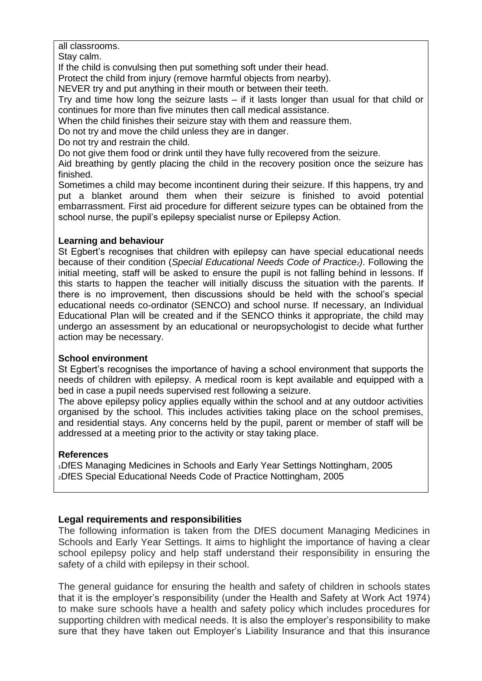#### all classrooms.

Stay calm.

If the child is convulsing then put something soft under their head.

Protect the child from injury (remove harmful objects from nearby).

NEVER try and put anything in their mouth or between their teeth.

Trv and time how long the seizure lasts – if it lasts longer than usual for that child or continues for more than five minutes then call medical assistance.

When the child finishes their seizure stay with them and reassure them.

Do not try and move the child unless they are in danger.

Do not try and restrain the child.

Do not give them food or drink until they have fully recovered from the seizure.

Aid breathing by gently placing the child in the recovery position once the seizure has finished.

Sometimes a child may become incontinent during their seizure. If this happens, try and put a blanket around them when their seizure is finished to avoid potential embarrassment. First aid procedure for different seizure types can be obtained from the school nurse, the pupil's epilepsy specialist nurse or Epilepsy Action.

#### **Learning and behaviour**

St Egbert's recognises that children with epilepsy can have special educational needs because of their condition (*Special Educational Needs Code of Practice2)*. Following the initial meeting, staff will be asked to ensure the pupil is not falling behind in lessons. If this starts to happen the teacher will initially discuss the situation with the parents. If there is no improvement, then discussions should be held with the school's special educational needs co-ordinator (SENCO) and school nurse. If necessary, an Individual Educational Plan will be created and if the SENCO thinks it appropriate, the child may undergo an assessment by an educational or neuropsychologist to decide what further action may be necessary.

#### **School environment**

St Egbert's recognises the importance of having a school environment that supports the needs of children with epilepsy. A medical room is kept available and equipped with a bed in case a pupil needs supervised rest following a seizure.

The above epilepsy policy applies equally within the school and at any outdoor activities organised by the school. This includes activities taking place on the school premises, and residential stays. Any concerns held by the pupil, parent or member of staff will be addressed at a meeting prior to the activity or stay taking place.

#### **References**

<sup>1</sup>DfES Managing Medicines in Schools and Early Year Settings Nottingham, 2005 <sup>2</sup>DfES Special Educational Needs Code of Practice Nottingham, 2005

#### **Legal requirements and responsibilities**

The following information is taken from the DfES document Managing Medicines in Schools and Early Year Settings. It aims to highlight the importance of having a clear school epilepsy policy and help staff understand their responsibility in ensuring the safety of a child with epilepsy in their school.

The general guidance for ensuring the health and safety of children in schools states that it is the employer's responsibility (under the Health and Safety at Work Act 1974) to make sure schools have a health and safety policy which includes procedures for supporting children with medical needs. It is also the employer's responsibility to make sure that they have taken out Employer's Liability Insurance and that this insurance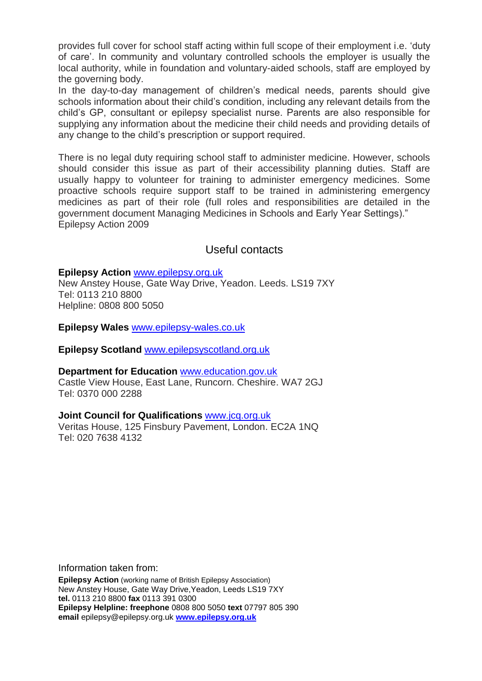provides full cover for school staff acting within full scope of their employment i.e. 'duty of care'. In community and voluntary controlled schools the employer is usually the local authority, while in foundation and voluntary-aided schools, staff are employed by the governing body.

In the day-to-day management of children's medical needs, parents should give schools information about their child's condition, including any relevant details from the child's GP, consultant or epilepsy specialist nurse. Parents are also responsible for supplying any information about the medicine their child needs and providing details of any change to the child's prescription or support required.

There is no legal duty requiring school staff to administer medicine. However, schools should consider this issue as part of their accessibility planning duties. Staff are usually happy to volunteer for training to administer emergency medicines. Some proactive schools require support staff to be trained in administering emergency medicines as part of their role (full roles and responsibilities are detailed in the government document Managing Medicines in Schools and Early Year Settings)." Epilepsy Action 2009

### Useful contacts

#### **Epilepsy Action** [www.epilepsy.org.uk](http://www.epilepsy.org.uk/)

New Anstey House, Gate Way Drive, Yeadon. Leeds. LS19 7XY Tel: 0113 210 8800 Helpline: 0808 800 5050

**Epilepsy Wales** [www.epilepsy-wales.co.uk](http://www.epilepsy-wales.co.uk/)

**Epilepsy Scotland** [www.epilepsyscotland.org.uk](http://www.epilepsyscotland.org.uk/)

#### **Department for Education** [www.education.gov.uk](http://www.education.gov.uk/)

Castle View House, East Lane, Runcorn. Cheshire. WA7 2GJ Tel: 0370 000 2288

#### **Joint Council for Qualifications** [www.jcq.org.uk](http://www.jcq.org.uk/)

Veritas House, 125 Finsbury Pavement, London. EC2A 1NQ Tel: 020 7638 4132

Information taken from:

**Epilepsy Action** (working name of British Epilepsy Association) New Anstey House, Gate Way Drive,Yeadon, Leeds LS19 7XY **tel.** 0113 210 8800 **fax** 0113 391 0300 **Epilepsy Helpline: freephone** 0808 800 5050 **text** 07797 805 390 **email** epilepsy@epilepsy.org.uk **[www.epilepsy.org.uk](http://www.epilepsy.org.uk/)**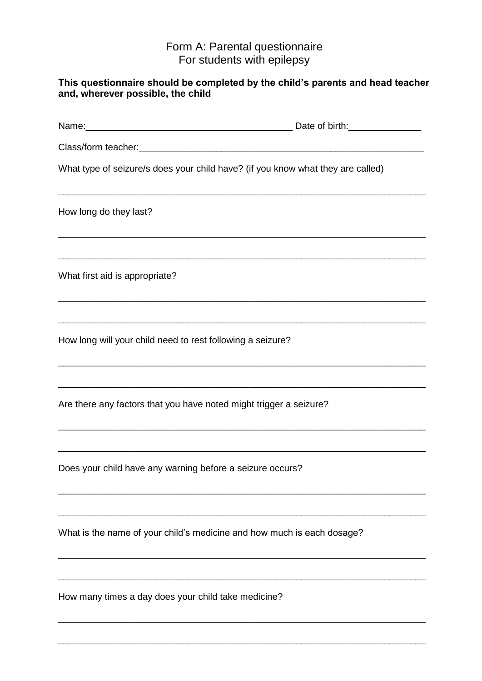### Form A: Parental questionnaire For students with epilepsy

| This questionnaire should be completed by the child's parents and head teacher<br>and, wherever possible, the child                                                                    |  |
|----------------------------------------------------------------------------------------------------------------------------------------------------------------------------------------|--|
|                                                                                                                                                                                        |  |
|                                                                                                                                                                                        |  |
| What type of seizure/s does your child have? (if you know what they are called)                                                                                                        |  |
| How long do they last?                                                                                                                                                                 |  |
| <u> 1989 - Johann Stoff, amerikansk politiker (d. 1989)</u><br>What first aid is appropriate?                                                                                          |  |
|                                                                                                                                                                                        |  |
| How long will your child need to rest following a seizure?                                                                                                                             |  |
| Are there any factors that you have noted might trigger a seizure?<br>and the control of the control of the control of the control of the control of the control of the control of the |  |
| Does your child have any warning before a seizure occurs?                                                                                                                              |  |
| What is the name of your child's medicine and how much is each dosage?                                                                                                                 |  |
|                                                                                                                                                                                        |  |
| How many times a day does your child take medicine?                                                                                                                                    |  |

\_\_\_\_\_\_\_\_\_\_\_\_\_\_\_\_\_\_\_\_\_\_\_\_\_\_\_\_\_\_\_\_\_\_\_\_\_\_\_\_\_\_\_\_\_\_\_\_\_\_\_\_\_\_\_\_\_\_\_\_\_\_\_\_\_\_\_\_\_\_\_

\_\_\_\_\_\_\_\_\_\_\_\_\_\_\_\_\_\_\_\_\_\_\_\_\_\_\_\_\_\_\_\_\_\_\_\_\_\_\_\_\_\_\_\_\_\_\_\_\_\_\_\_\_\_\_\_\_\_\_\_\_\_\_\_\_\_\_\_\_\_\_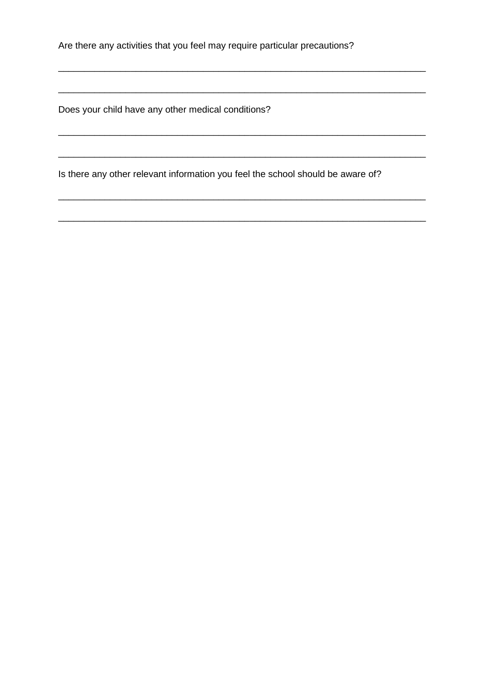Are there any activities that you feel may require particular precautions?

Does your child have any other medical conditions?

<u> 1989 - Johann Stoff, amerikansk politiker (d. 1989)</u>

Is there any other relevant information you feel the school should be aware of?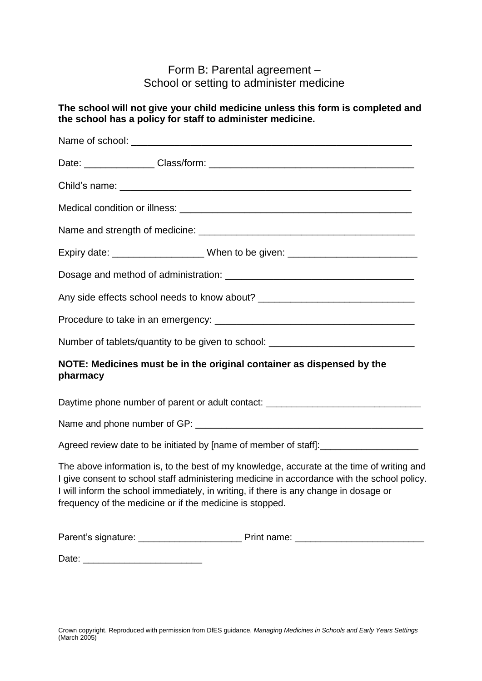## Form B: Parental agreement – School or setting to administer medicine

**The school will not give your child medicine unless this form is completed and** 

|          | the school has a policy for staff to administer medicine.                                                                                                                                                                                                                                                                                      |
|----------|------------------------------------------------------------------------------------------------------------------------------------------------------------------------------------------------------------------------------------------------------------------------------------------------------------------------------------------------|
|          |                                                                                                                                                                                                                                                                                                                                                |
|          |                                                                                                                                                                                                                                                                                                                                                |
|          |                                                                                                                                                                                                                                                                                                                                                |
|          |                                                                                                                                                                                                                                                                                                                                                |
|          |                                                                                                                                                                                                                                                                                                                                                |
|          | Expiry date: ________________________When to be given: _________________________                                                                                                                                                                                                                                                               |
|          |                                                                                                                                                                                                                                                                                                                                                |
|          | Any side effects school needs to know about? ___________________________________                                                                                                                                                                                                                                                               |
|          |                                                                                                                                                                                                                                                                                                                                                |
|          | Number of tablets/quantity to be given to school: ______________________________                                                                                                                                                                                                                                                               |
| pharmacy | NOTE: Medicines must be in the original container as dispensed by the                                                                                                                                                                                                                                                                          |
|          | Daytime phone number of parent or adult contact: _______________________________                                                                                                                                                                                                                                                               |
|          |                                                                                                                                                                                                                                                                                                                                                |
|          | Agreed review date to be initiated by [name of member of staff]:_________________                                                                                                                                                                                                                                                              |
|          | The above information is, to the best of my knowledge, accurate at the time of writing and<br>I give consent to school staff administering medicine in accordance with the school policy.<br>I will inform the school immediately, in writing, if there is any change in dosage or<br>frequency of the medicine or if the medicine is stopped. |
|          |                                                                                                                                                                                                                                                                                                                                                |

Date: \_\_\_\_\_\_\_\_\_\_\_\_\_\_\_\_\_\_\_\_\_\_\_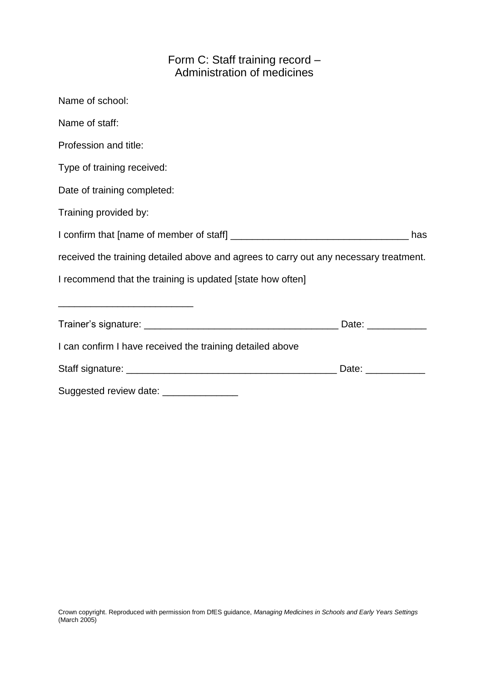# Form C: Staff training record – Administration of medicines

| Name of school:                                                                       |                                                                                                                                                                                                                                |
|---------------------------------------------------------------------------------------|--------------------------------------------------------------------------------------------------------------------------------------------------------------------------------------------------------------------------------|
| Name of staff:                                                                        |                                                                                                                                                                                                                                |
| Profession and title:                                                                 |                                                                                                                                                                                                                                |
| Type of training received:                                                            |                                                                                                                                                                                                                                |
| Date of training completed:                                                           |                                                                                                                                                                                                                                |
| Training provided by:                                                                 |                                                                                                                                                                                                                                |
|                                                                                       | has                                                                                                                                                                                                                            |
| received the training detailed above and agrees to carry out any necessary treatment. |                                                                                                                                                                                                                                |
| I recommend that the training is updated [state how often]                            |                                                                                                                                                                                                                                |
|                                                                                       |                                                                                                                                                                                                                                |
|                                                                                       |                                                                                                                                                                                                                                |
| I can confirm I have received the training detailed above                             |                                                                                                                                                                                                                                |
|                                                                                       | Date: the contract of the contract of the contract of the contract of the contract of the contract of the contract of the contract of the contract of the contract of the contract of the contract of the contract of the cont |
| Suggested review date: ________________                                               |                                                                                                                                                                                                                                |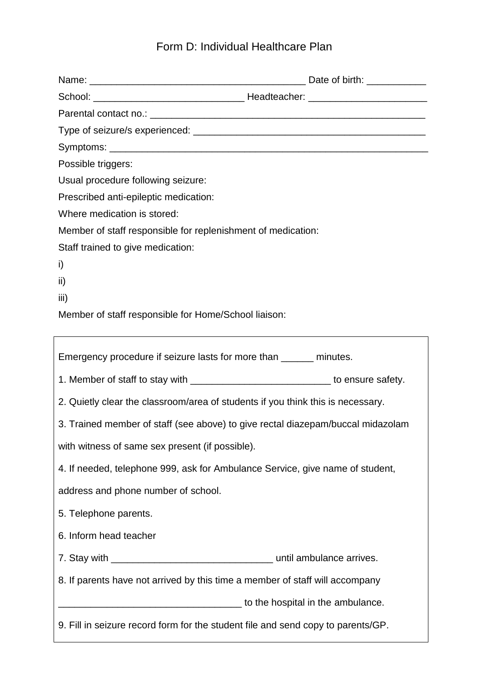# Form D: Individual Healthcare Plan

| Possible triggers:                                                              |                                                                                     |  |
|---------------------------------------------------------------------------------|-------------------------------------------------------------------------------------|--|
|                                                                                 | Usual procedure following seizure:                                                  |  |
|                                                                                 | Prescribed anti-epileptic medication:                                               |  |
| Where medication is stored:                                                     |                                                                                     |  |
| Member of staff responsible for replenishment of medication:                    |                                                                                     |  |
| Staff trained to give medication:                                               |                                                                                     |  |
| i)                                                                              |                                                                                     |  |
| ii)                                                                             |                                                                                     |  |
| iii)                                                                            |                                                                                     |  |
|                                                                                 | Member of staff responsible for Home/School liaison:                                |  |
|                                                                                 |                                                                                     |  |
|                                                                                 | Emergency procedure if seizure lasts for more than ______ minutes.                  |  |
|                                                                                 | 1. Member of staff to stay with _________________________________ to ensure safety. |  |
|                                                                                 | 2. Quietly clear the classroom/area of students if you think this is necessary.     |  |
| 3. Trained member of staff (see above) to give rectal diazepam/buccal midazolam |                                                                                     |  |
|                                                                                 | with witness of same sex present (if possible).                                     |  |
|                                                                                 | 4. If needed, telephone 999, ask for Ambulance Service, give name of student,       |  |
|                                                                                 | address and phone number of school.                                                 |  |
| 5. Telephone parents.                                                           |                                                                                     |  |
| 6. Inform head teacher                                                          |                                                                                     |  |
|                                                                                 |                                                                                     |  |
|                                                                                 | 8. If parents have not arrived by this time a member of staff will accompany        |  |
|                                                                                 | to the hospital in the ambulance.                                                   |  |
|                                                                                 | 9. Fill in seizure record form for the student file and send copy to parents/GP.    |  |